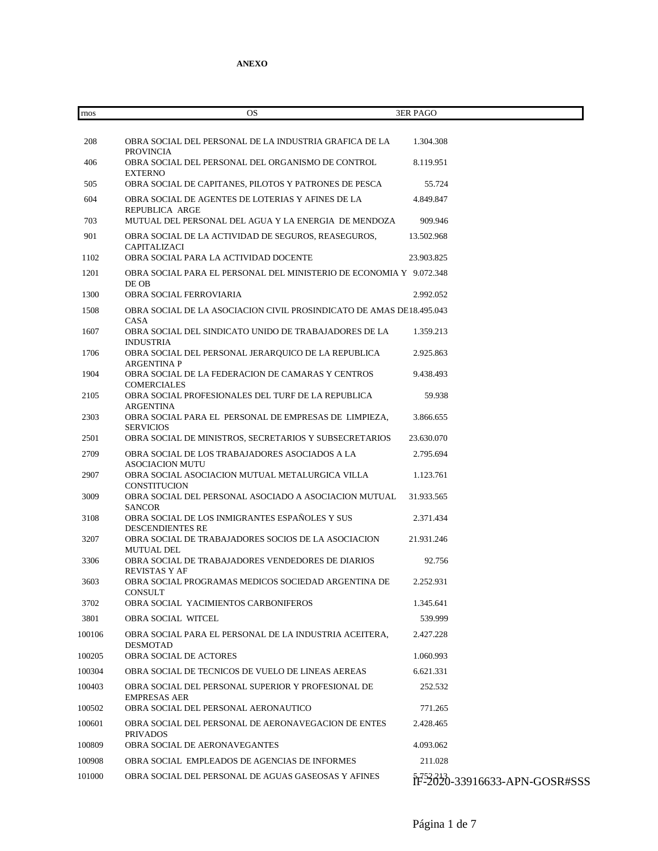| rnos   | OS                                                                                            | <b>3ER PAGO</b>               |
|--------|-----------------------------------------------------------------------------------------------|-------------------------------|
|        |                                                                                               |                               |
| 208    | OBRA SOCIAL DEL PERSONAL DE LA INDUSTRIA GRAFICA DE LA<br><b>PROVINCIA</b>                    | 1.304.308                     |
| 406    | OBRA SOCIAL DEL PERSONAL DEL ORGANISMO DE CONTROL<br><b>EXTERNO</b>                           | 8.119.951                     |
| 505    | OBRA SOCIAL DE CAPITANES, PILOTOS Y PATRONES DE PESCA                                         | 55.724                        |
| 604    | OBRA SOCIAL DE AGENTES DE LOTERIAS Y AFINES DE LA                                             | 4.849.847                     |
| 703    | REPUBLICA ARGE<br>MUTUAL DEL PERSONAL DEL AGUA Y LA ENERGIA DE MENDOZA                        | 909.946                       |
| 901    | OBRA SOCIAL DE LA ACTIVIDAD DE SEGUROS, REASEGUROS,                                           | 13.502.968                    |
| 1102   | CAPITALIZACI<br>OBRA SOCIAL PARA LA ACTIVIDAD DOCENTE                                         | 23.903.825                    |
| 1201   | OBRA SOCIAL PARA EL PERSONAL DEL MINISTERIO DE ECONOMIA Y 9.072.348                           |                               |
| 1300   | DE OB<br>OBRA SOCIAL FERROVIARIA                                                              | 2.992.052                     |
| 1508   | OBRA SOCIAL DE LA ASOCIACION CIVIL PROSINDICATO DE AMAS DE18.495.043                          |                               |
| 1607   | CASA<br>OBRA SOCIAL DEL SINDICATO UNIDO DE TRABAJADORES DE LA<br><b>INDUSTRIA</b>             | 1.359.213                     |
| 1706   | OBRA SOCIAL DEL PERSONAL JERARQUICO DE LA REPUBLICA                                           | 2.925.863                     |
| 1904   | <b>ARGENTINA P</b><br>OBRA SOCIAL DE LA FEDERACION DE CAMARAS Y CENTROS<br><b>COMERCIALES</b> | 9.438.493                     |
| 2105   | OBRA SOCIAL PROFESIONALES DEL TURF DE LA REPUBLICA                                            | 59.938                        |
| 2303   | ARGENTINA<br>OBRA SOCIAL PARA EL PERSONAL DE EMPRESAS DE LIMPIEZA,<br><b>SERVICIOS</b>        | 3.866.655                     |
| 2501   | OBRA SOCIAL DE MINISTROS, SECRETARIOS Y SUBSECRETARIOS                                        | 23.630.070                    |
| 2709   | OBRA SOCIAL DE LOS TRABAJADORES ASOCIADOS A LA<br><b>ASOCIACION MUTU</b>                      | 2.795.694                     |
| 2907   | OBRA SOCIAL ASOCIACION MUTUAL METALURGICA VILLA<br>CONSTITUCION                               | 1.123.761                     |
| 3009   | OBRA SOCIAL DEL PERSONAL ASOCIADO A ASOCIACION MUTUAL                                         | 31.933.565                    |
| 3108   | <b>SANCOR</b><br>OBRA SOCIAL DE LOS INMIGRANTES ESPAÑOLES Y SUS<br><b>DESCENDIENTES RE</b>    | 2.371.434                     |
| 3207   | OBRA SOCIAL DE TRABAJADORES SOCIOS DE LA ASOCIACION                                           | 21.931.246                    |
| 3306   | MUTUAL DEL<br>OBRA SOCIAL DE TRABAJADORES VENDEDORES DE DIARIOS<br>REVISTAS Y AF              | 92.756                        |
| 3603   | OBRA SOCIAL PROGRAMAS MEDICOS SOCIEDAD ARGENTINA DE                                           | 2 252 931                     |
| 3702   | <b>CONSULT</b><br>OBRA SOCIAL YACIMIENTOS CARBONIFEROS                                        | 1.345.641                     |
| 3801   | <b>OBRA SOCIAL WITCEL</b>                                                                     | 539.999                       |
| 100106 | OBRA SOCIAL PARA EL PERSONAL DE LA INDUSTRIA ACEITERA,<br><b>DESMOTAD</b>                     | 2.427.228                     |
| 100205 | OBRA SOCIAL DE ACTORES                                                                        | 1.060.993                     |
| 100304 | OBRA SOCIAL DE TECNICOS DE VUELO DE LINEAS AEREAS                                             | 6.621.331                     |
| 100403 | OBRA SOCIAL DEL PERSONAL SUPERIOR Y PROFESIONAL DE<br><b>EMPRESAS AER</b>                     | 252.532                       |
| 100502 | OBRA SOCIAL DEL PERSONAL AERONAUTICO                                                          | 771.265                       |
| 100601 | OBRA SOCIAL DEL PERSONAL DE AERONAVEGACION DE ENTES<br><b>PRIVADOS</b>                        | 2.428.465                     |
| 100809 | OBRA SOCIAL DE AERONAVEGANTES                                                                 | 4.093.062                     |
| 100908 | OBRA SOCIAL EMPLEADOS DE AGENCIAS DE INFORMES                                                 | 211.028                       |
| 101000 | OBRA SOCIAL DEL PERSONAL DE AGUAS GASEOSAS Y AFINES                                           | fF-2020-33916633-APN-GOSR#SSS |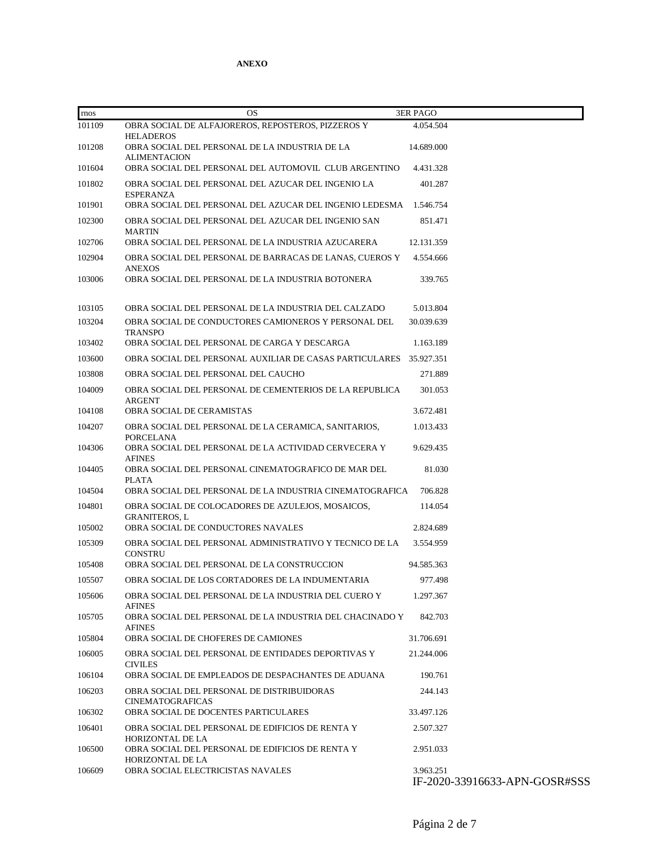| rnos   | <b>OS</b>                                                                   | <b>3ER PAGO</b>                            |
|--------|-----------------------------------------------------------------------------|--------------------------------------------|
| 101109 | OBRA SOCIAL DE ALFAJOREROS, REPOSTEROS, PIZZEROS Y<br><b>HELADEROS</b>      | 4.054.504                                  |
| 101208 | OBRA SOCIAL DEL PERSONAL DE LA INDUSTRIA DE LA<br><b>ALIMENTACION</b>       | 14.689.000                                 |
| 101604 | OBRA SOCIAL DEL PERSONAL DEL AUTOMOVIL CLUB ARGENTINO                       | 4.431.328                                  |
| 101802 | OBRA SOCIAL DEL PERSONAL DEL AZUCAR DEL INGENIO LA<br><b>ESPERANZA</b>      | 401.287                                    |
| 101901 | OBRA SOCIAL DEL PERSONAL DEL AZUCAR DEL INGENIO LEDESMA                     | 1.546.754                                  |
| 102300 | OBRA SOCIAL DEL PERSONAL DEL AZUCAR DEL INGENIO SAN<br><b>MARTIN</b>        | 851.471                                    |
| 102706 | OBRA SOCIAL DEL PERSONAL DE LA INDUSTRIA AZUCARERA                          | 12.131.359                                 |
| 102904 | OBRA SOCIAL DEL PERSONAL DE BARRACAS DE LANAS. CUEROS Y<br><b>ANEXOS</b>    | 4.554.666                                  |
| 103006 | OBRA SOCIAL DEL PERSONAL DE LA INDUSTRIA BOTONERA                           | 339.765                                    |
| 103105 | OBRA SOCIAL DEL PERSONAL DE LA INDUSTRIA DEL CALZADO                        | 5.013.804                                  |
| 103204 | OBRA SOCIAL DE CONDUCTORES CAMIONEROS Y PERSONAL DEL<br><b>TRANSPO</b>      | 30.039.639                                 |
| 103402 | OBRA SOCIAL DEL PERSONAL DE CARGA Y DESCARGA                                | 1.163.189                                  |
| 103600 | OBRA SOCIAL DEL PERSONAL AUXILIAR DE CASAS PARTICULARES                     | 35.927.351                                 |
| 103808 | OBRA SOCIAL DEL PERSONAL DEL CAUCHO                                         | 271.889                                    |
| 104009 | OBRA SOCIAL DEL PERSONAL DE CEMENTERIOS DE LA REPUBLICA<br><b>ARGENT</b>    | 301.053                                    |
| 104108 | OBRA SOCIAL DE CERAMISTAS                                                   | 3.672.481                                  |
| 104207 | OBRA SOCIAL DEL PERSONAL DE LA CERAMICA, SANITARIOS,<br><b>PORCELANA</b>    | 1.013.433                                  |
| 104306 | OBRA SOCIAL DEL PERSONAL DE LA ACTIVIDAD CERVECERA Y<br><b>AFINES</b>       | 9.629.435                                  |
| 104405 | OBRA SOCIAL DEL PERSONAL CINEMATOGRAFICO DE MAR DEL<br><b>PLATA</b>         | 81.030                                     |
| 104504 | OBRA SOCIAL DEL PERSONAL DE LA INDUSTRIA CINEMATOGRAFICA                    | 706.828                                    |
| 104801 | OBRA SOCIAL DE COLOCADORES DE AZULEJOS, MOSAICOS,<br><b>GRANITEROS, L</b>   | 114.054                                    |
| 105002 | OBRA SOCIAL DE CONDUCTORES NAVALES                                          | 2.824.689                                  |
| 105309 | OBRA SOCIAL DEL PERSONAL ADMINISTRATIVO Y TECNICO DE LA<br><b>CONSTRU</b>   | 3.554.959                                  |
| 105408 | OBRA SOCIAL DEL PERSONAL DE LA CONSTRUCCION                                 | 94.585.363                                 |
| 105507 | OBRA SOCIAL DE LOS CORTADORES DE LA INDUMENTARIA                            | 977.498                                    |
| 105606 | OBRA SOCIAL DEL PERSONAL DE LA INDUSTRIA DEL CUERO Y<br><b>AFINES</b>       | 1.297.367                                  |
| 105705 | OBRA SOCIAL DEL PERSONAL DE LA INDUSTRIA DEL CHACINADO Y<br><b>AFINES</b>   | 842.703                                    |
| 105804 | OBRA SOCIAL DE CHOFERES DE CAMIONES                                         | 31.706.691                                 |
| 106005 | OBRA SOCIAL DEL PERSONAL DE ENTIDADES DEPORTIVAS Y<br><b>CIVILES</b>        | 21.244.006                                 |
| 106104 | OBRA SOCIAL DE EMPLEADOS DE DESPACHANTES DE ADUANA                          | 190.761                                    |
| 106203 | OBRA SOCIAL DEL PERSONAL DE DISTRIBUIDORAS<br><b>CINEMATOGRAFICAS</b>       | 244.143                                    |
| 106302 | OBRA SOCIAL DE DOCENTES PARTICULARES                                        | 33.497.126                                 |
| 106401 | OBRA SOCIAL DEL PERSONAL DE EDIFICIOS DE RENTA Y<br><b>HORIZONTAL DE LA</b> | 2.507.327                                  |
| 106500 | OBRA SOCIAL DEL PERSONAL DE EDIFICIOS DE RENTA Y<br><b>HORIZONTAL DE LA</b> | 2.951.033                                  |
| 106609 | OBRA SOCIAL ELECTRICISTAS NAVALES                                           | 3.963.251<br>IF-2020-33916633-APN-GOSR#SSS |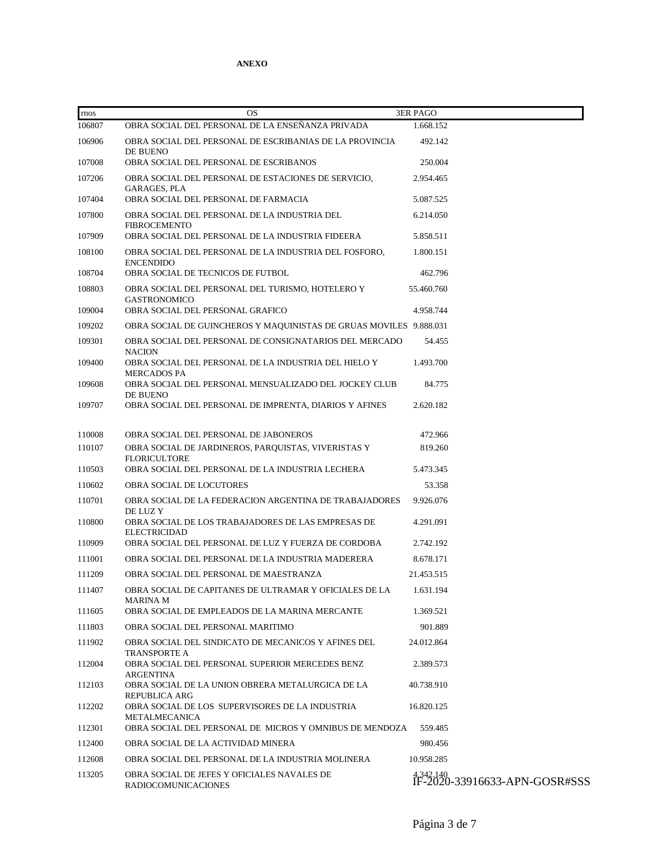| rnos   | <b>OS</b>                                                                  | <b>3ER PAGO</b>                           |
|--------|----------------------------------------------------------------------------|-------------------------------------------|
| 106807 | OBRA SOCIAL DEL PERSONAL DE LA ENSENANZA PRIVADA                           | 1.668.152                                 |
| 106906 | OBRA SOCIAL DEL PERSONAL DE ESCRIBANIAS DE LA PROVINCIA<br>DE BUENO        | 492.142                                   |
| 107008 | OBRA SOCIAL DEL PERSONAL DE ESCRIBANOS                                     | 250.004                                   |
| 107206 | OBRA SOCIAL DEL PERSONAL DE ESTACIONES DE SERVICIO,<br>GARAGES, PLA        | 2.954.465                                 |
| 107404 | OBRA SOCIAL DEL PERSONAL DE FARMACIA                                       | 5.087.525                                 |
| 107800 | OBRA SOCIAL DEL PERSONAL DE LA INDUSTRIA DEL<br><b>FIBROCEMENTO</b>        | 6.214.050                                 |
| 107909 | OBRA SOCIAL DEL PERSONAL DE LA INDUSTRIA FIDEERA                           | 5.858.511                                 |
| 108100 | OBRA SOCIAL DEL PERSONAL DE LA INDUSTRIA DEL FOSFORO,<br><b>ENCENDIDO</b>  | 1.800.151                                 |
| 108704 | OBRA SOCIAL DE TECNICOS DE FUTBOL                                          | 462.796                                   |
| 108803 | OBRA SOCIAL DEL PERSONAL DEL TURISMO, HOTELERO Y<br><b>GASTRONOMICO</b>    | 55.460.760                                |
| 109004 | OBRA SOCIAL DEL PERSONAL GRAFICO                                           | 4.958.744                                 |
| 109202 | OBRA SOCIAL DE GUINCHEROS Y MAQUINISTAS DE GRUAS MOVILES 9.888.031         |                                           |
| 109301 | OBRA SOCIAL DEL PERSONAL DE CONSIGNATARIOS DEL MERCADO<br><b>NACION</b>    | 54.455                                    |
| 109400 | OBRA SOCIAL DEL PERSONAL DE LA INDUSTRIA DEL HIELO Y<br><b>MERCADOS PA</b> | 1.493.700                                 |
| 109608 | OBRA SOCIAL DEL PERSONAL MENSUALIZADO DEL JOCKEY CLUB<br>DE BUENO          | 84.775                                    |
| 109707 | OBRA SOCIAL DEL PERSONAL DE IMPRENTA, DIARIOS Y AFINES                     | 2.620.182                                 |
| 110008 | OBRA SOCIAL DEL PERSONAL DE JABONEROS                                      | 472.966                                   |
| 110107 | OBRA SOCIAL DE JARDINEROS, PARQUISTAS, VIVERISTAS Y<br><b>FLORICULTORE</b> | 819.260                                   |
| 110503 | OBRA SOCIAL DEL PERSONAL DE LA INDUSTRIA LECHERA                           | 5.473.345                                 |
| 110602 | OBRA SOCIAL DE LOCUTORES                                                   | 53.358                                    |
| 110701 | OBRA SOCIAL DE LA FEDERACION ARGENTINA DE TRABAJADORES<br>DE LUZ Y         | 9.926.076                                 |
| 110800 | OBRA SOCIAL DE LOS TRABAJADORES DE LAS EMPRESAS DE<br><b>ELECTRICIDAD</b>  | 4.291.091                                 |
| 110909 | OBRA SOCIAL DEL PERSONAL DE LUZ Y FUERZA DE CORDOBA                        | 2.742.192                                 |
| 111001 | OBRA SOCIAL DEL PERSONAL DE LA INDUSTRIA MADERERA                          | 8.678.171                                 |
| 111209 | OBRA SOCIAL DEL PERSONAL DE MAESTRANZA                                     | 21.453.515                                |
| 111407 | OBRA SOCIAL DE CAPITANES DE ULTRAMAR Y OFICIALES DE LA<br><b>MARINA M</b>  | 1.631.194                                 |
| 111605 | OBRA SOCIAL DE EMPLEADOS DE LA MARINA MERCANTE                             | 1.369.521                                 |
| 111803 | OBRA SOCIAL DEL PERSONAL MARITIMO                                          | 901.889                                   |
| 111902 | OBRA SOCIAL DEL SINDICATO DE MECANICOS Y AFINES DEL<br><b>TRANSPORTE A</b> | 24.012.864                                |
| 112004 | OBRA SOCIAL DEL PERSONAL SUPERIOR MERCEDES BENZ<br>ARGENTINA               | 2.389.573                                 |
| 112103 | OBRA SOCIAL DE LA UNION OBRERA METALURGICA DE LA<br><b>REPUBLICA ARG</b>   | 40.738.910                                |
| 112202 | OBRA SOCIAL DE LOS SUPERVISORES DE LA INDUSTRIA<br>METALMECANICA           | 16.820.125                                |
| 112301 | OBRA SOCIAL DEL PERSONAL DE MICROS Y OMNIBUS DE MENDOZA                    | 559.485                                   |
| 112400 | OBRA SOCIAL DE LA ACTIVIDAD MINERA                                         | 980.456                                   |
| 112608 | OBRA SOCIAL DEL PERSONAL DE LA INDUSTRIA MOLINERA                          | 10.958.285                                |
| 113205 | OBRA SOCIAL DE JEFES Y OFICIALES NAVALES DE<br>RADIOCOMUNICACIONES         | 4342.140<br>IF-2020-33916633-APN-GOSR#SSS |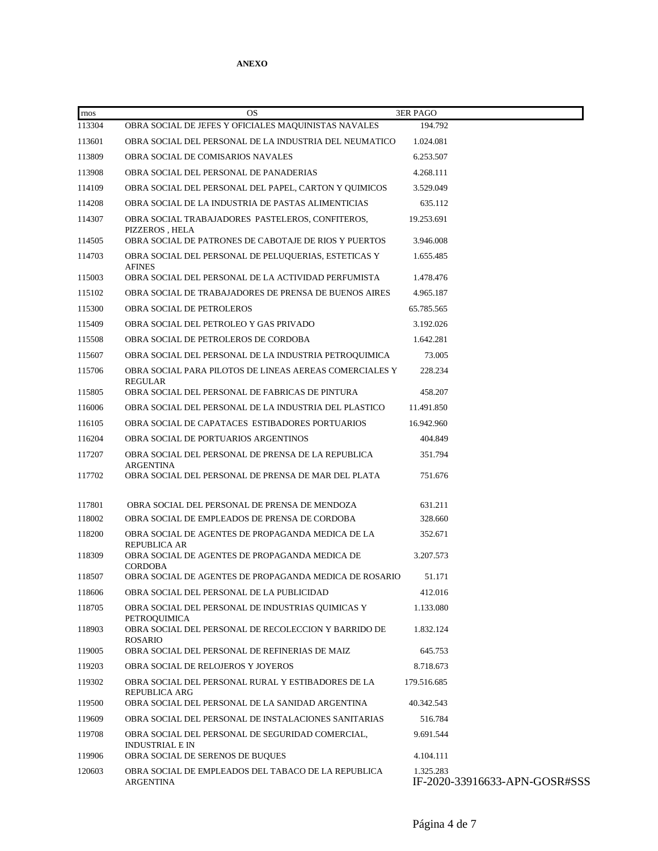| rnos   | <b>OS</b>                                                                              | <b>3ER PAGO</b>                            |
|--------|----------------------------------------------------------------------------------------|--------------------------------------------|
| 113304 | OBRA SOCIAL DE JEFES Y OFICIALES MAQUINISTAS NAVALES                                   | 194.792                                    |
| 113601 | OBRA SOCIAL DEL PERSONAL DE LA INDUSTRIA DEL NEUMATICO                                 | 1.024.081                                  |
| 113809 | OBRA SOCIAL DE COMISARIOS NAVALES                                                      | 6.253.507                                  |
| 113908 | OBRA SOCIAL DEL PERSONAL DE PANADERIAS                                                 | 4.268.111                                  |
| 114109 | OBRA SOCIAL DEL PERSONAL DEL PAPEL, CARTON Y QUIMICOS                                  | 3.529.049                                  |
| 114208 | OBRA SOCIAL DE LA INDUSTRIA DE PASTAS ALIMENTICIAS                                     | 635.112                                    |
| 114307 | OBRA SOCIAL TRABAJADORES PASTELEROS, CONFITEROS,<br>PIZZEROS, HELA                     | 19.253.691                                 |
| 114505 | OBRA SOCIAL DE PATRONES DE CABOTAJE DE RIOS Y PUERTOS                                  | 3.946.008                                  |
| 114703 | OBRA SOCIAL DEL PERSONAL DE PELUQUERIAS, ESTETICAS Y<br><b>AFINES</b>                  | 1.655.485                                  |
| 115003 | OBRA SOCIAL DEL PERSONAL DE LA ACTIVIDAD PERFUMISTA                                    | 1.478.476                                  |
| 115102 | OBRA SOCIAL DE TRABAJADORES DE PRENSA DE BUENOS AIRES                                  | 4.965.187                                  |
| 115300 | OBRA SOCIAL DE PETROLEROS                                                              | 65.785.565                                 |
| 115409 | OBRA SOCIAL DEL PETROLEO Y GAS PRIVADO                                                 | 3.192.026                                  |
| 115508 | OBRA SOCIAL DE PETROLEROS DE CORDOBA                                                   | 1.642.281                                  |
| 115607 | OBRA SOCIAL DEL PERSONAL DE LA INDUSTRIA PETROQUIMICA                                  | 73.005                                     |
| 115706 | OBRA SOCIAL PARA PILOTOS DE LINEAS AEREAS COMERCIALES Y<br>REGULAR                     | 228.234                                    |
| 115805 | OBRA SOCIAL DEL PERSONAL DE FABRICAS DE PINTURA                                        | 458.207                                    |
| 116006 | OBRA SOCIAL DEL PERSONAL DE LA INDUSTRIA DEL PLASTICO                                  | 11.491.850                                 |
| 116105 | OBRA SOCIAL DE CAPATACES ESTIBADORES PORTUARIOS                                        | 16.942.960                                 |
| 116204 | OBRA SOCIAL DE PORTUARIOS ARGENTINOS                                                   | 404.849                                    |
| 117207 | OBRA SOCIAL DEL PERSONAL DE PRENSA DE LA REPUBLICA<br><b>ARGENTINA</b>                 | 351.794                                    |
| 117702 | OBRA SOCIAL DEL PERSONAL DE PRENSA DE MAR DEL PLATA                                    | 751.676                                    |
| 117801 | OBRA SOCIAL DEL PERSONAL DE PRENSA DE MENDOZA                                          | 631.211                                    |
| 118002 | OBRA SOCIAL DE EMPLEADOS DE PRENSA DE CORDOBA                                          | 328.660                                    |
| 118200 | OBRA SOCIAL DE AGENTES DE PROPAGANDA MEDICA DE LA                                      | 352.671                                    |
|        | <b>REPUBLICA AR</b>                                                                    |                                            |
| 118309 | OBRA SOCIAL DE AGENTES DE PROPAGANDA MEDICA DE<br><b>CORDOBA</b>                       | 3.207.573                                  |
| 118507 | OBRA SOCIAL DE AGENTES DE PROPAGANDA MEDICA DE ROSARIO                                 | 51.171                                     |
| 118606 | OBRA SOCIAL DEL PERSONAL DE LA PUBLICIDAD                                              | 412.016                                    |
| 118705 | OBRA SOCIAL DEL PERSONAL DE INDUSTRIAS QUIMICAS Y                                      | 1.133.080                                  |
| 118903 | PETROQUIMICA<br>OBRA SOCIAL DEL PERSONAL DE RECOLECCION Y BARRIDO DE<br><b>ROSARIO</b> | 1.832.124                                  |
| 119005 | OBRA SOCIAL DEL PERSONAL DE REFINERIAS DE MAIZ                                         | 645.753                                    |
| 119203 | OBRA SOCIAL DE RELOJEROS Y JOYEROS                                                     | 8.718.673                                  |
| 119302 | OBRA SOCIAL DEL PERSONAL RURAL Y ESTIBADORES DE LA                                     | 179.516.685                                |
| 119500 | <b>REPUBLICA ARG</b><br>OBRA SOCIAL DEL PERSONAL DE LA SANIDAD ARGENTINA               | 40.342.543                                 |
| 119609 | OBRA SOCIAL DEL PERSONAL DE INSTALACIONES SANITARIAS                                   | 516.784                                    |
| 119708 | OBRA SOCIAL DEL PERSONAL DE SEGURIDAD COMERCIAL,<br><b>INDUSTRIAL E IN</b>             | 9.691.544                                  |
| 119906 | OBRA SOCIAL DE SERENOS DE BUQUES                                                       | 4.104.111                                  |
| 120603 | OBRA SOCIAL DE EMPLEADOS DEL TABACO DE LA REPUBLICA<br><b>ARGENTINA</b>                | 1.325.283<br>IF-2020-33916633-APN-GOSR#SSS |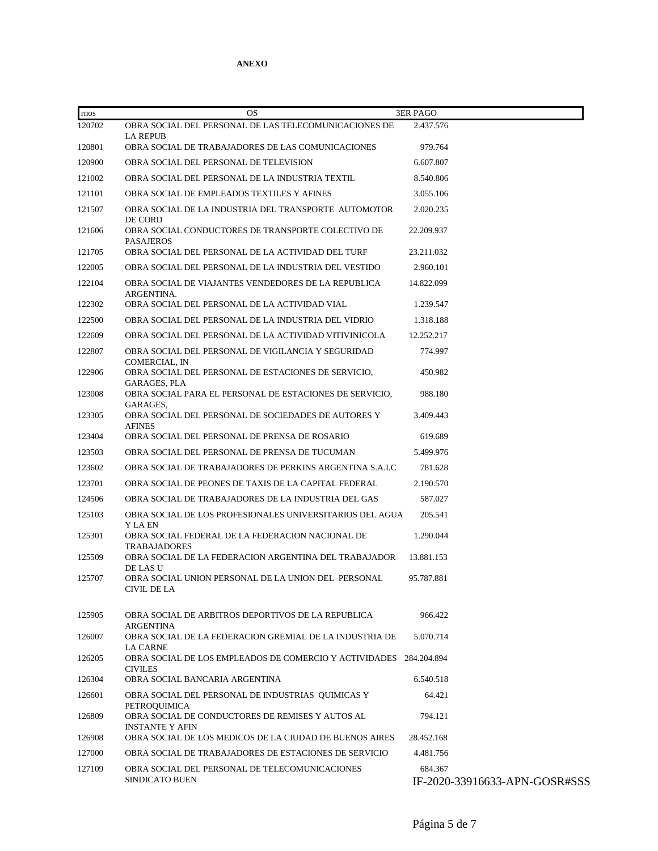| rnos   | <b>OS</b>                                                                            | <b>3ER PAGO</b>                          |
|--------|--------------------------------------------------------------------------------------|------------------------------------------|
| 120702 | OBRA SOCIAL DEL PERSONAL DE LAS TELECOMUNICACIONES DE<br><b>LA REPUB</b>             | 2.437.576                                |
| 120801 | OBRA SOCIAL DE TRABAJADORES DE LAS COMUNICACIONES                                    | 979.764                                  |
| 120900 | OBRA SOCIAL DEL PERSONAL DE TELEVISION                                               | 6.607.807                                |
| 121002 | OBRA SOCIAL DEL PERSONAL DE LA INDUSTRIA TEXTIL                                      | 8.540.806                                |
| 121101 | OBRA SOCIAL DE EMPLEADOS TEXTILES Y AFINES                                           | 3.055.106                                |
| 121507 | OBRA SOCIAL DE LA INDUSTRIA DEL TRANSPORTE AUTOMOTOR<br>DE CORD                      | 2.020.235                                |
| 121606 | OBRA SOCIAL CONDUCTORES DE TRANSPORTE COLECTIVO DE<br><b>PASAJEROS</b>               | 22.209.937                               |
| 121705 | OBRA SOCIAL DEL PERSONAL DE LA ACTIVIDAD DEL TURF                                    | 23.211.032                               |
| 122005 | OBRA SOCIAL DEL PERSONAL DE LA INDUSTRIA DEL VESTIDO                                 | 2.960.101                                |
| 122104 | OBRA SOCIAL DE VIAJANTES VENDEDORES DE LA REPUBLICA<br>ARGENTINA.                    | 14.822.099                               |
| 122302 | OBRA SOCIAL DEL PERSONAL DE LA ACTIVIDAD VIAL                                        | 1.239.547                                |
| 122500 | OBRA SOCIAL DEL PERSONAL DE LA INDUSTRIA DEL VIDRIO                                  | 1.318.188                                |
| 122609 | OBRA SOCIAL DEL PERSONAL DE LA ACTIVIDAD VITIVINICOLA                                | 12.252.217                               |
| 122807 | OBRA SOCIAL DEL PERSONAL DE VIGILANCIA Y SEGURIDAD<br>COMERCIAL, IN                  | 774.997                                  |
| 122906 | OBRA SOCIAL DEL PERSONAL DE ESTACIONES DE SERVICIO,<br>GARAGES, PLA                  | 450.982                                  |
| 123008 | OBRA SOCIAL PARA EL PERSONAL DE ESTACIONES DE SERVICIO,<br>GARAGES,                  | 988.180                                  |
| 123305 | OBRA SOCIAL DEL PERSONAL DE SOCIEDADES DE AUTORES Y<br><b>AFINES</b>                 | 3.409.443                                |
| 123404 | OBRA SOCIAL DEL PERSONAL DE PRENSA DE ROSARIO                                        | 619.689                                  |
| 123503 | OBRA SOCIAL DEL PERSONAL DE PRENSA DE TUCUMAN                                        | 5.499.976                                |
| 123602 | OBRA SOCIAL DE TRABAJADORES DE PERKINS ARGENTINA S.A.I.C                             | 781.628                                  |
| 123701 | OBRA SOCIAL DE PEONES DE TAXIS DE LA CAPITAL FEDERAL                                 | 2.190.570                                |
| 124506 | OBRA SOCIAL DE TRABAJADORES DE LA INDUSTRIA DEL GAS                                  | 587.027                                  |
| 125103 | OBRA SOCIAL DE LOS PROFESIONALES UNIVERSITARIOS DEL AGUA<br>Y LA EN                  | 205.541                                  |
| 125301 | OBRA SOCIAL FEDERAL DE LA FEDERACION NACIONAL DE<br><b>TRABAJADORES</b>              | 1.290.044                                |
| 125509 | OBRA SOCIAL DE LA FEDERACION ARGENTINA DEL TRABAJADOR<br>DE LAS U                    | 13.881.153                               |
| 125707 | OBRA SOCIAL UNION PERSONAL DE LA UNION DEL PERSONAL<br><b>CIVIL DE LA</b>            | 95.787.881                               |
| 125905 | OBRA SOCIAL DE ARBITROS DEPORTIVOS DE LA REPUBLICA<br><b>ARGENTINA</b>               | 966.422                                  |
| 126007 | OBRA SOCIAL DE LA FEDERACION GREMIAL DE LA INDUSTRIA DE<br><b>LA CARNE</b>           | 5.070.714                                |
| 126205 | OBRA SOCIAL DE LOS EMPLEADOS DE COMERCIO Y ACTIVIDADES 284.204.894<br><b>CIVILES</b> |                                          |
| 126304 | OBRA SOCIAL BANCARIA ARGENTINA                                                       | 6.540.518                                |
| 126601 | OBRA SOCIAL DEL PERSONAL DE INDUSTRIAS QUIMICAS Y<br>PETROQUIMICA                    | 64.421                                   |
| 126809 | OBRA SOCIAL DE CONDUCTORES DE REMISES Y AUTOS AL<br><b>INSTANTE Y AFIN</b>           | 794.121                                  |
| 126908 | OBRA SOCIAL DE LOS MEDICOS DE LA CIUDAD DE BUENOS AIRES                              | 28.452.168                               |
| 127000 | OBRA SOCIAL DE TRABAJADORES DE ESTACIONES DE SERVICIO                                | 4.481.756                                |
| 127109 | OBRA SOCIAL DEL PERSONAL DE TELECOMUNICACIONES<br><b>SINDICATO BUEN</b>              | 684.367<br>IF-2020-33916633-APN-GOSR#SSS |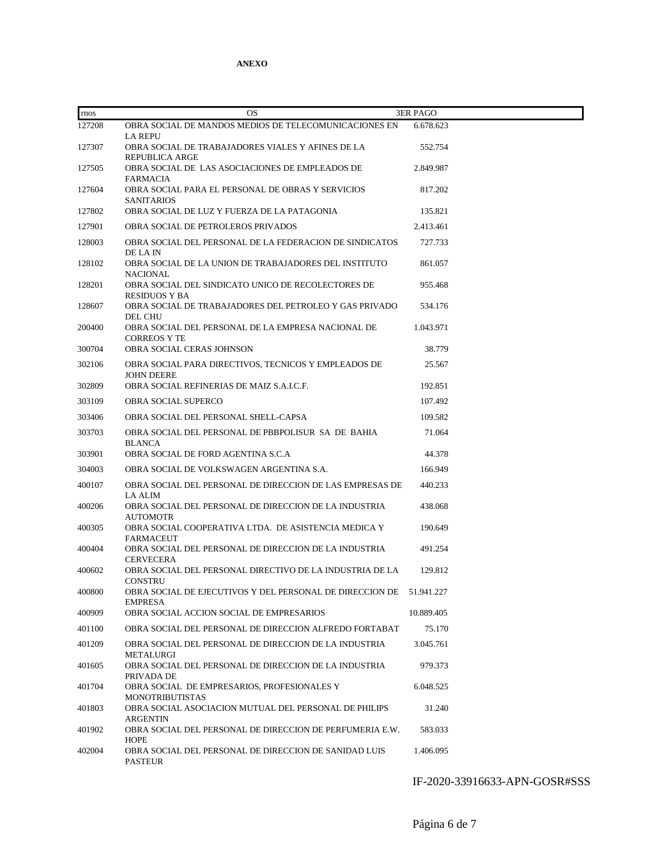| rnos   | <b>OS</b>                                                                                 | <b>3ER PAGO</b> |
|--------|-------------------------------------------------------------------------------------------|-----------------|
| 127208 | OBRA SOCIAL DE MANDOS MEDIOS DE TELECOMUNICACIONES EN                                     | 6.678.623       |
| 127307 | <b>LA REPU</b><br>OBRA SOCIAL DE TRABAJADORES VIALES Y AFINES DE LA                       | 552.754         |
| 127505 | <b>REPUBLICA ARGE</b><br>OBRA SOCIAL DE LAS ASOCIACIONES DE EMPLEADOS DE                  | 2.849.987       |
| 127604 | <b>FARMACIA</b><br>OBRA SOCIAL PARA EL PERSONAL DE OBRAS Y SERVICIOS<br><b>SANITARIOS</b> | 817.202         |
| 127802 | OBRA SOCIAL DE LUZ Y FUERZA DE LA PATAGONIA                                               | 135.821         |
| 127901 | OBRA SOCIAL DE PETROLEROS PRIVADOS                                                        | 2.413.461       |
| 128003 | OBRA SOCIAL DEL PERSONAL DE LA FEDERACION DE SINDICATOS<br>DE LA IN                       | 727.733         |
| 128102 | OBRA SOCIAL DE LA UNION DE TRABAJADORES DEL INSTITUTO<br><b>NACIONAL</b>                  | 861.057         |
| 128201 | OBRA SOCIAL DEL SINDICATO UNICO DE RECOLECTORES DE<br><b>RESIDUOS Y BA</b>                | 955.468         |
| 128607 | OBRA SOCIAL DE TRABAJADORES DEL PETROLEO Y GAS PRIVADO<br>DEL CHU                         | 534.176         |
| 200400 | OBRA SOCIAL DEL PERSONAL DE LA EMPRESA NACIONAL DE<br><b>CORREOS Y TE</b>                 | 1.043.971       |
| 300704 | OBRA SOCIAL CERAS JOHNSON                                                                 | 38.779          |
| 302106 | OBRA SOCIAL PARA DIRECTIVOS, TECNICOS Y EMPLEADOS DE<br><b>JOHN DEERE</b>                 | 25.567          |
| 302809 | OBRA SOCIAL REFINERIAS DE MAIZ S.A.I.C.F.                                                 | 192.851         |
| 303109 | <b>OBRA SOCIAL SUPERCO</b>                                                                | 107.492         |
| 303406 | OBRA SOCIAL DEL PERSONAL SHELL-CAPSA                                                      | 109.582         |
| 303703 | OBRA SOCIAL DEL PERSONAL DE PBBPOLISUR SA DE BAHIA<br><b>BLANCA</b>                       | 71.064          |
| 303901 | OBRA SOCIAL DE FORD AGENTINA S.C.A                                                        | 44.378          |
| 304003 | OBRA SOCIAL DE VOLKSWAGEN ARGENTINA S.A.                                                  | 166.949         |
| 400107 | OBRA SOCIAL DEL PERSONAL DE DIRECCION DE LAS EMPRESAS DE                                  | 440.233         |
| 400206 | LA ALIM<br>OBRA SOCIAL DEL PERSONAL DE DIRECCION DE LA INDUSTRIA<br><b>AUTOMOTR</b>       | 438.068         |
| 400305 | OBRA SOCIAL COOPERATIVA LTDA. DE ASISTENCIA MEDICA Y<br>FARMACEUT                         | 190.649         |
| 400404 | OBRA SOCIAL DEL PERSONAL DE DIRECCION DE LA INDUSTRIA<br><b>CERVECERA</b>                 | 491.254         |
| 400602 | OBRA SOCIAL DEL PERSONAL DIRECTIVO DE LA INDUSTRIA DE LA<br>CONSTRU                       | 129.812         |
| 400800 | OBRA SOCIAL DE EJECUTIVOS Y DEL PERSONAL DE DIRECCION DE<br><b>EMPRESA</b>                | 51.941.227      |
| 400909 | OBRA SOCIAL ACCION SOCIAL DE EMPRESARIOS                                                  | 10.889.405      |
| 401100 | OBRA SOCIAL DEL PERSONAL DE DIRECCION ALFREDO FORTABAT                                    | 75.170          |
| 401209 | OBRA SOCIAL DEL PERSONAL DE DIRECCION DE LA INDUSTRIA<br><b>METALURGI</b>                 | 3.045.761       |
| 401605 | OBRA SOCIAL DEL PERSONAL DE DIRECCION DE LA INDUSTRIA<br>PRIVADA DE                       | 979.373         |
| 401704 | OBRA SOCIAL DE EMPRESARIOS, PROFESIONALES Y<br><b>MONOTRIBUTISTAS</b>                     | 6.048.525       |
| 401803 | OBRA SOCIAL ASOCIACION MUTUAL DEL PERSONAL DE PHILIPS<br><b>ARGENTIN</b>                  | 31.240          |
| 401902 | OBRA SOCIAL DEL PERSONAL DE DIRECCION DE PERFUMERIA E.W.<br><b>HOPE</b>                   | 583.033         |
| 402004 | OBRA SOCIAL DEL PERSONAL DE DIRECCION DE SANIDAD LUIS<br><b>PASTEUR</b>                   | 1.406.095       |

IF-2020-33916633-APN-GOSR#SSS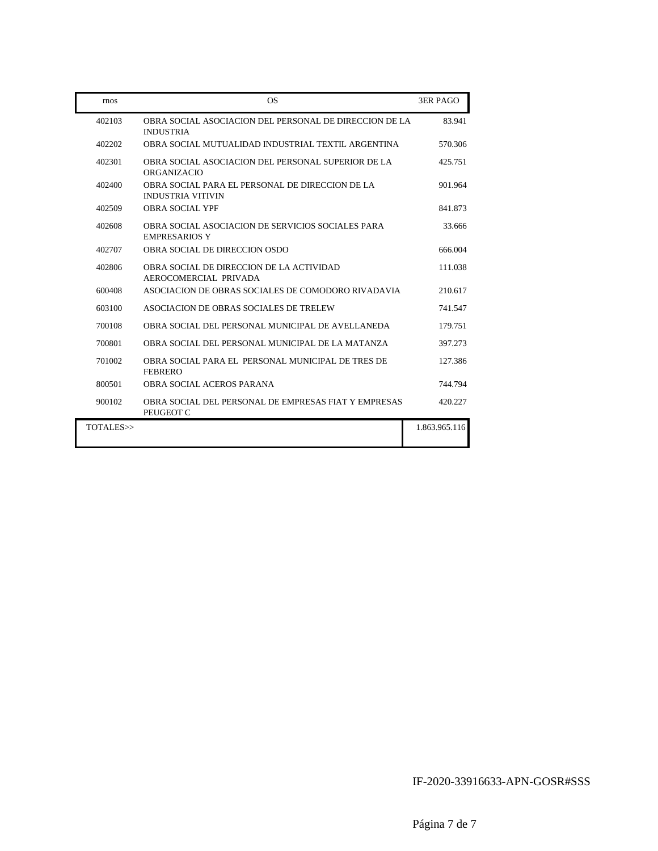| rnos      | <b>OS</b>                                                                   | <b>3ER PAGO</b> |
|-----------|-----------------------------------------------------------------------------|-----------------|
| 402103    | OBRA SOCIAL ASOCIACION DEL PERSONAL DE DIRECCION DE LA<br><b>INDUSTRIA</b>  | 83.941          |
| 402202    | OBRA SOCIAL MUTUALIDAD INDUSTRIAL TEXTIL ARGENTINA                          | 570.306         |
| 402301    | OBRA SOCIAL ASOCIACION DEL PERSONAL SUPERIOR DE LA<br><b>ORGANIZACIO</b>    | 425.751         |
| 402400    | OBRA SOCIAL PARA EL PERSONAL DE DIRECCION DE LA<br><b>INDUSTRIA VITIVIN</b> | 901.964         |
| 402509    | <b>OBRA SOCIAL YPF</b>                                                      | 841.873         |
| 402608    | OBRA SOCIAL ASOCIACION DE SERVICIOS SOCIALES PARA<br><b>EMPRESARIOS Y</b>   | 33.666          |
| 402707    | OBRA SOCIAL DE DIRECCION OSDO                                               | 666.004         |
| 402806    | OBRA SOCIAL DE DIRECCION DE LA ACTIVIDAD<br>AEROCOMERCIAL PRIVADA           | 111.038         |
| 600408    | ASOCIACION DE OBRAS SOCIALES DE COMODORO RIVADAVIA                          | 210.617         |
| 603100    | ASOCIACION DE OBRAS SOCIALES DE TRELEW                                      | 741.547         |
| 700108    | OBRA SOCIAL DEL PERSONAL MUNICIPAL DE AVELLANEDA                            | 179.751         |
| 700801    | OBRA SOCIAL DEL PERSONAL MUNICIPAL DE LA MATANZA                            | 397.273         |
| 701002    | OBRA SOCIAL PARA EL PERSONAL MUNICIPAL DE TRES DE<br><b>FEBRERO</b>         | 127.386         |
| 800501    | OBRA SOCIAL ACEROS PARANA                                                   | 744.794         |
| 900102    | OBRA SOCIAL DEL PERSONAL DE EMPRESAS FIAT Y EMPRESAS<br>PEUGEOT C           | 420.227         |
| TOTALES>> |                                                                             | 1.863.965.116   |

IF-2020-33916633-APN-GOSR#SSS